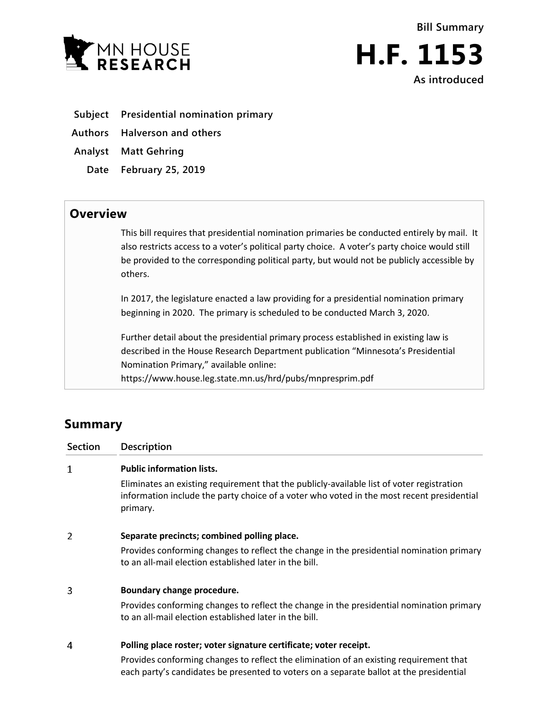



- **Subject Presidential nomination primary**
- **Authors Halverson and others**
- **Analyst Matt Gehring**
	- **Date February 25, 2019**

## **Overview**

This bill requires that presidential nomination primaries be conducted entirely by mail. It also restricts access to a voter's political party choice. A voter's party choice would still be provided to the corresponding political party, but would not be publicly accessible by others.

In 2017, the legislature enacted a law providing for a presidential nomination primary beginning in 2020. The primary is scheduled to be conducted March 3, 2020.

Further detail about the presidential primary process established in existing law is described in the House Research Department publication "Minnesota's Presidential Nomination Primary," available online:

https://www.house.leg.state.mn.us/hrd/pubs/mnpresprim.pdf

# **Summary**

| Section | Description                                                                                                                                                                                                                                            |
|---------|--------------------------------------------------------------------------------------------------------------------------------------------------------------------------------------------------------------------------------------------------------|
| 1       | <b>Public information lists.</b><br>Eliminates an existing requirement that the publicly-available list of voter registration<br>information include the party choice of a voter who voted in the most recent presidential<br>primary.                 |
| 2       | Separate precincts; combined polling place.<br>Provides conforming changes to reflect the change in the presidential nomination primary<br>to an all-mail election established later in the bill.                                                      |
| 3       | Boundary change procedure.<br>Provides conforming changes to reflect the change in the presidential nomination primary<br>to an all-mail election established later in the bill.                                                                       |
| 4       | Polling place roster; voter signature certificate; voter receipt.<br>Provides conforming changes to reflect the elimination of an existing requirement that<br>each party's candidates be presented to voters on a separate ballot at the presidential |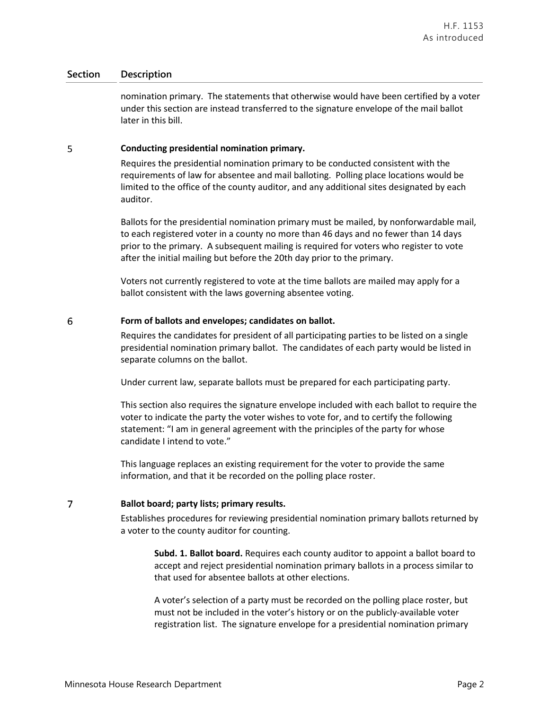## **Section Description**

nomination primary. The statements that otherwise would have been certified by a voter under this section are instead transferred to the signature envelope of the mail ballot later in this bill.

#### 5 **Conducting presidential nomination primary.**

Requires the presidential nomination primary to be conducted consistent with the requirements of law for absentee and mail balloting. Polling place locations would be limited to the office of the county auditor, and any additional sites designated by each auditor.

Ballots for the presidential nomination primary must be mailed, by nonforwardable mail, to each registered voter in a county no more than 46 days and no fewer than 14 days prior to the primary. A subsequent mailing is required for voters who register to vote after the initial mailing but before the 20th day prior to the primary.

Voters not currently registered to vote at the time ballots are mailed may apply for a ballot consistent with the laws governing absentee voting.

#### 6 **Form of ballots and envelopes; candidates on ballot.**

Requires the candidates for president of all participating parties to be listed on a single presidential nomination primary ballot. The candidates of each party would be listed in separate columns on the ballot.

Under current law, separate ballots must be prepared for each participating party.

This section also requires the signature envelope included with each ballot to require the voter to indicate the party the voter wishes to vote for, and to certify the following statement: "I am in general agreement with the principles of the party for whose candidate I intend to vote."

This language replaces an existing requirement for the voter to provide the same information, and that it be recorded on the polling place roster.

#### $\overline{7}$ **Ballot board; party lists; primary results.**

Establishes procedures for reviewing presidential nomination primary ballots returned by a voter to the county auditor for counting.

**Subd. 1. Ballot board.** Requires each county auditor to appoint a ballot board to accept and reject presidential nomination primary ballots in a process similar to that used for absentee ballots at other elections.

A voter's selection of a party must be recorded on the polling place roster, but must not be included in the voter's history or on the publicly-available voter registration list. The signature envelope for a presidential nomination primary